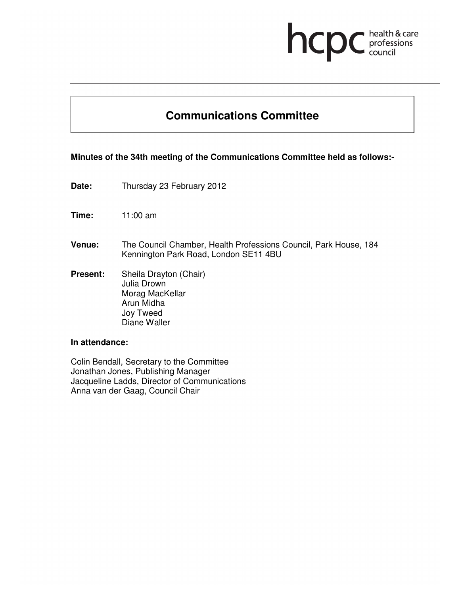# health & care<br>professions<br>council hcp

# **Communications Committee**

# **Minutes of the 34th meeting of the Communications Committee held as follows:-**

- **Date:** Thursday 23 February 2012
- **Time:** 11:00 am
- **Venue:** The Council Chamber, Health Professions Council, Park House, 184 Kennington Park Road, London SE11 4BU
- **Present:** Sheila Drayton (Chair) Julia Drown Morag MacKellar Arun Midha Joy Tweed Diane Waller

#### **In attendance:**

Colin Bendall, Secretary to the Committee Jonathan Jones, Publishing Manager Jacqueline Ladds, Director of Communications Anna van der Gaag, Council Chair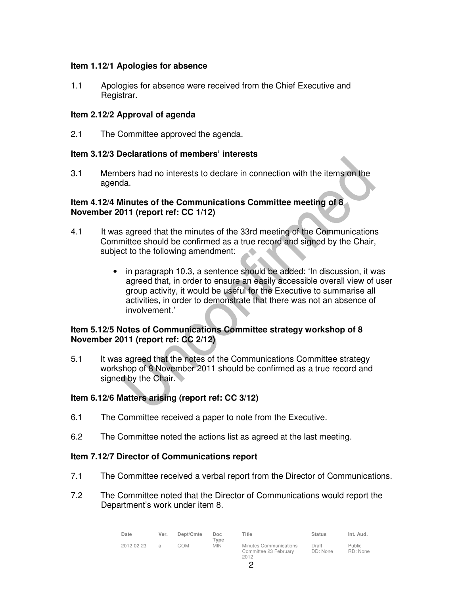# **Item 1.12/1 Apologies for absence**

1.1 Apologies for absence were received from the Chief Executive and Registrar.

# **Item 2.12/2 Approval of agenda**

2.1 The Committee approved the agenda.

## **Item 3.12/3 Declarations of members' interests**

3.1 Members had no interests to declare in connection with the items on the agenda.

## **Item 4.12/4 Minutes of the Communications Committee meeting of 8 November 2011 (report ref: CC 1/12)**

- 4.1 It was agreed that the minutes of the 33rd meeting of the Communications Committee should be confirmed as a true record and signed by the Chair, subject to the following amendment:
	- in paragraph 10.3, a sentence should be added: 'In discussion, it was agreed that, in order to ensure an easily accessible overall view of user group activity, it would be useful for the Executive to summarise all activities, in order to demonstrate that there was not an absence of involvement.'

# **Item 5.12/5 Notes of Communications Committee strategy workshop of 8 November 2011 (report ref: CC 2/12)**

5.1 It was agreed that the notes of the Communications Committee strategy workshop of 8 November 2011 should be confirmed as a true record and signed by the Chair.

# **Item 6.12/6 Matters arising (report ref: CC 3/12)**

- 6.1 The Committee received a paper to note from the Executive.
- 6.2 The Committee noted the actions list as agreed at the last meeting.

#### **Item 7.12/7 Director of Communications report**

- 7.1 The Committee received a verbal report from the Director of Communications.
- 7.2 The Committee noted that the Director of Communications would report the Department's work under item 8.

| Date       | Ver. | Dept/Cmte | Doc<br>Type | <b>Title</b>                                            | <b>Status</b>     | Int. Aud.                 |
|------------|------|-----------|-------------|---------------------------------------------------------|-------------------|---------------------------|
| 2012-02-23 | a    | COM       | <b>MIN</b>  | Minutes Communications<br>Committee 23 February<br>2012 | Draft<br>DD: None | <b>Public</b><br>RD: None |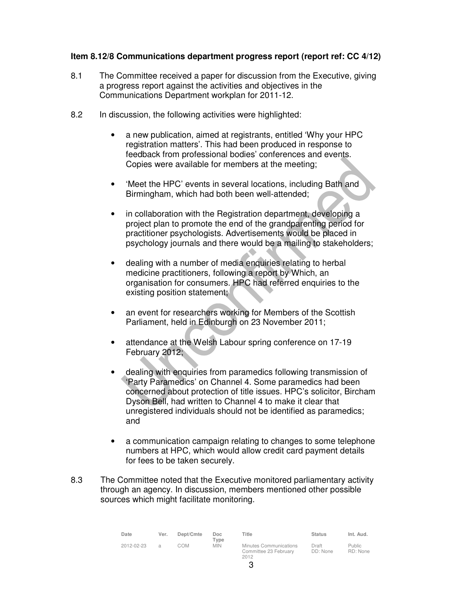# **Item 8.12/8 Communications department progress report (report ref: CC 4/12)**

- 8.1 The Committee received a paper for discussion from the Executive, giving a progress report against the activities and objectives in the Communications Department workplan for 2011-12.
- 8.2 In discussion, the following activities were highlighted:
	- a new publication, aimed at registrants, entitled 'Why your HPC registration matters'. This had been produced in response to feedback from professional bodies' conferences and events. Copies were available for members at the meeting;
	- 'Meet the HPC' events in several locations, including Bath and Birmingham, which had both been well-attended;
	- in collaboration with the Registration department, developing a project plan to promote the end of the grandparenting period for practitioner psychologists. Advertisements would be placed in psychology journals and there would be a mailing to stakeholders;
	- dealing with a number of media enquiries relating to herbal medicine practitioners, following a report by Which, an organisation for consumers. HPC had referred enquiries to the existing position statement;
	- an event for researchers working for Members of the Scottish Parliament, held in Edinburgh on 23 November 2011;
	- attendance at the Welsh Labour spring conference on 17-19 February 2012;
	- dealing with enquiries from paramedics following transmission of 'Party Paramedics' on Channel 4. Some paramedics had been concerned about protection of title issues. HPC's solicitor, Bircham Dyson Bell, had written to Channel 4 to make it clear that unregistered individuals should not be identified as paramedics; and
	- a communication campaign relating to changes to some telephone numbers at HPC, which would allow credit card payment details for fees to be taken securely.
- 8.3 The Committee noted that the Executive monitored parliamentary activity through an agency. In discussion, members mentioned other possible sources which might facilitate monitoring.

| Date       | Ver. | Dept/Cmte | Doc<br>$T$ <sub>Vpe</sub> | Title                                                   | <b>Status</b>     | Int. Aud.                 |
|------------|------|-----------|---------------------------|---------------------------------------------------------|-------------------|---------------------------|
| 2012-02-23 | a    | COM       | <b>MIN</b>                | Minutes Communications<br>Committee 23 February<br>2012 | Draft<br>DD: None | <b>Public</b><br>RD: None |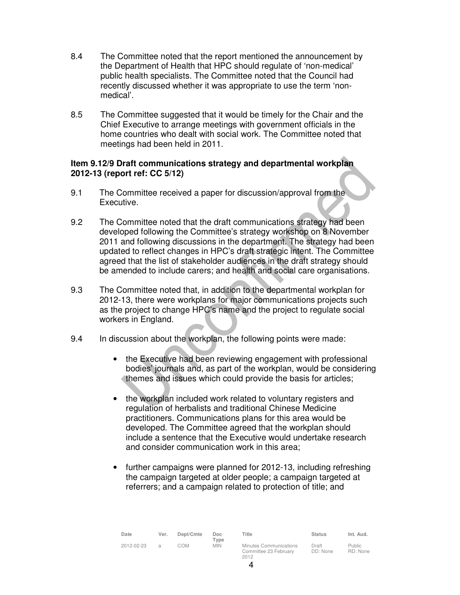- 8.4 The Committee noted that the report mentioned the announcement by the Department of Health that HPC should regulate of 'non-medical' public health specialists. The Committee noted that the Council had recently discussed whether it was appropriate to use the term 'nonmedical'.
- 8.5 The Committee suggested that it would be timely for the Chair and the Chief Executive to arrange meetings with government officials in the home countries who dealt with social work. The Committee noted that meetings had been held in 2011.

# **Item 9.12/9 Draft communications strategy and departmental workplan 2012-13 (report ref: CC 5/12)**

- 9.1 The Committee received a paper for discussion/approval from the Executive.
- 9.2 The Committee noted that the draft communications strategy had been developed following the Committee's strategy workshop on 8 November 2011 and following discussions in the department. The strategy had been updated to reflect changes in HPC's draft strategic intent. The Committee agreed that the list of stakeholder audiences in the draft strategy should be amended to include carers; and health and social care organisations.
- 9.3 The Committee noted that, in addition to the departmental workplan for 2012-13, there were workplans for major communications projects such as the project to change HPC's name and the project to regulate social workers in England.
- 9.4 In discussion about the workplan, the following points were made:
	- the Executive had been reviewing engagement with professional bodies' journals and, as part of the workplan, would be considering themes and issues which could provide the basis for articles;
	- the workplan included work related to voluntary registers and regulation of herbalists and traditional Chinese Medicine practitioners. Communications plans for this area would be developed. The Committee agreed that the workplan should include a sentence that the Executive would undertake research and consider communication work in this area;
	- further campaigns were planned for 2012-13, including refreshing the campaign targeted at older people; a campaign targeted at referrers; and a campaign related to protection of title; and

| Date       | Ver.          | Dept/Cmte | Doc.<br>Type | Title                                                   | <b>Status</b>     | Int. Aud.                 |
|------------|---------------|-----------|--------------|---------------------------------------------------------|-------------------|---------------------------|
| 2012-02-23 | $\mathcal{A}$ | COM       | <b>MIN</b>   | Minutes Communications<br>Committee 23 February<br>2012 | Draft<br>DD: None | <b>Public</b><br>RD: None |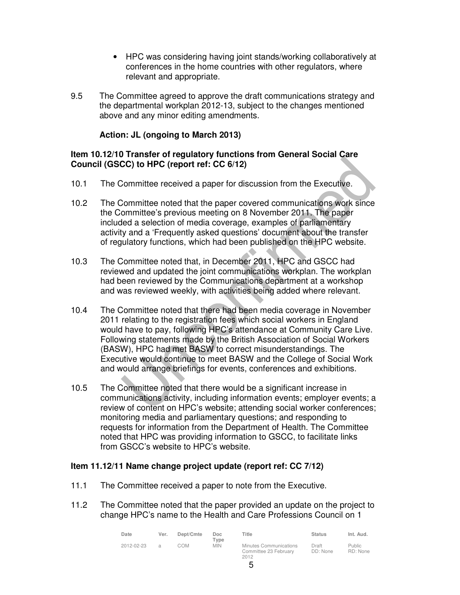- HPC was considering having joint stands/working collaboratively at conferences in the home countries with other regulators, where relevant and appropriate.
- 9.5 The Committee agreed to approve the draft communications strategy and the departmental workplan 2012-13, subject to the changes mentioned above and any minor editing amendments.

# **Action: JL (ongoing to March 2013)**

# **Item 10.12/10 Transfer of regulatory functions from General Social Care Council (GSCC) to HPC (report ref: CC 6/12)**

- 10.1 The Committee received a paper for discussion from the Executive.
- 10.2 The Committee noted that the paper covered communications work since the Committee's previous meeting on 8 November 2011. The paper included a selection of media coverage, examples of parliamentary activity and a 'Frequently asked questions' document about the transfer of regulatory functions, which had been published on the HPC website.
- 10.3 The Committee noted that, in December 2011, HPC and GSCC had reviewed and updated the joint communications workplan. The workplan had been reviewed by the Communications department at a workshop and was reviewed weekly, with activities being added where relevant.
- 10.4 The Committee noted that there had been media coverage in November 2011 relating to the registration fees which social workers in England would have to pay, following HPC's attendance at Community Care Live. Following statements made by the British Association of Social Workers (BASW), HPC had met BASW to correct misunderstandings. The Executive would continue to meet BASW and the College of Social Work and would arrange briefings for events, conferences and exhibitions.
- 10.5 The Committee noted that there would be a significant increase in communications activity, including information events; employer events; a review of content on HPC's website; attending social worker conferences; monitoring media and parliamentary questions; and responding to requests for information from the Department of Health. The Committee noted that HPC was providing information to GSCC, to facilitate links from GSCC's website to HPC's website.

#### **Item 11.12/11 Name change project update (report ref: CC 7/12)**

- 11.1 The Committee received a paper to note from the Executive.
- 11.2 The Committee noted that the paper provided an update on the project to change HPC's name to the Health and Care Professions Council on 1

| Date       | Ver. | Dept/Cmte | Doc<br>Type | Title                                                   | <b>Status</b>     | Int. Aud.                 |
|------------|------|-----------|-------------|---------------------------------------------------------|-------------------|---------------------------|
| 2012-02-23 | Э    | COM       | <b>MIN</b>  | Minutes Communications<br>Committee 23 February<br>2012 | Draft<br>DD: None | <b>Public</b><br>RD: None |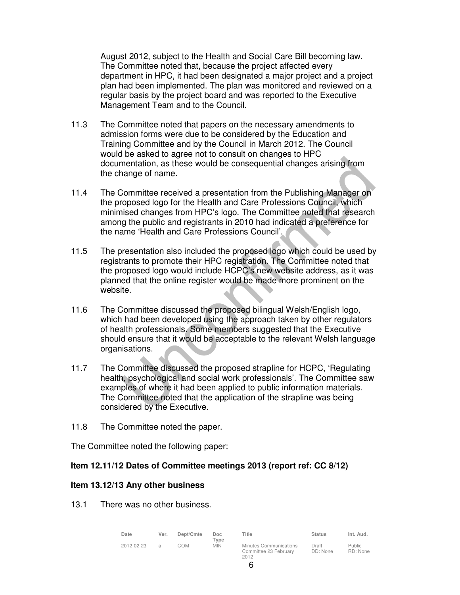August 2012, subject to the Health and Social Care Bill becoming law. The Committee noted that, because the project affected every department in HPC, it had been designated a major project and a project plan had been implemented. The plan was monitored and reviewed on a regular basis by the project board and was reported to the Executive Management Team and to the Council.

- 11.3 The Committee noted that papers on the necessary amendments to admission forms were due to be considered by the Education and Training Committee and by the Council in March 2012. The Council would be asked to agree not to consult on changes to HPC documentation, as these would be consequential changes arising from the change of name.
- 11.4 The Committee received a presentation from the Publishing Manager on the proposed logo for the Health and Care Professions Council, which minimised changes from HPC's logo. The Committee noted that research among the public and registrants in 2010 had indicated a preference for the name 'Health and Care Professions Council'.
- 11.5 The presentation also included the proposed logo which could be used by registrants to promote their HPC registration. The Committee noted that the proposed logo would include HCPC's new website address, as it was planned that the online register would be made more prominent on the website.
- 11.6 The Committee discussed the proposed bilingual Welsh/English logo, which had been developed using the approach taken by other regulators of health professionals. Some members suggested that the Executive should ensure that it would be acceptable to the relevant Welsh language organisations.
- 11.7 The Committee discussed the proposed strapline for HCPC, 'Regulating health, psychological and social work professionals'. The Committee saw examples of where it had been applied to public information materials. The Committee noted that the application of the strapline was being considered by the Executive.
- 11.8 The Committee noted the paper.

The Committee noted the following paper:

# **Item 12.11/12 Dates of Committee meetings 2013 (report ref: CC 8/12)**

# **Item 13.12/13 Any other business**

13.1 There was no other business.

| Date       | Ver.           | Dept/Cmte | Doc<br>Type | Title                                                   | <b>Status</b>     | Int. Aud.                 |
|------------|----------------|-----------|-------------|---------------------------------------------------------|-------------------|---------------------------|
| 2012-02-23 | $\overline{a}$ | COM       | <b>MIN</b>  | Minutes Communications<br>Committee 23 February<br>2012 | Draft<br>DD: None | <b>Public</b><br>RD: None |